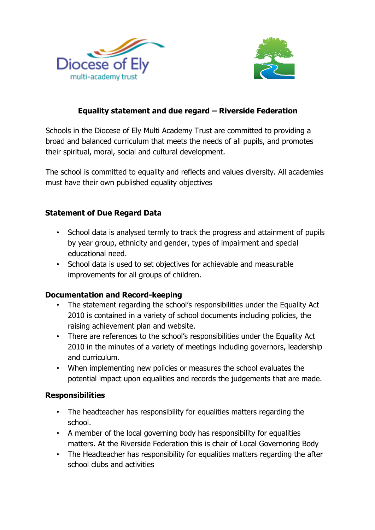



# **Equality statement and due regard – Riverside Federation**

Schools in the Diocese of Ely Multi Academy Trust are committed to providing a broad and balanced curriculum that meets the needs of all pupils, and promotes their spiritual, moral, social and cultural development.

The school is committed to equality and reflects and values diversity. All academies must have their own published equality objectives

### **Statement of Due Regard Data**

- School data is analysed termly to track the progress and attainment of pupils by year group, ethnicity and gender, types of impairment and special educational need.
- School data is used to set objectives for achievable and measurable improvements for all groups of children.

#### **Documentation and Record-keeping**

- The statement regarding the school's responsibilities under the Equality Act 2010 is contained in a variety of school documents including policies, the raising achievement plan and website.
- There are references to the school's responsibilities under the Equality Act 2010 in the minutes of a variety of meetings including governors, leadership and curriculum.
- When implementing new policies or measures the school evaluates the potential impact upon equalities and records the judgements that are made.

#### **Responsibilities**

- The headteacher has responsibility for equalities matters regarding the school.
- A member of the local governing body has responsibility for equalities matters. At the Riverside Federation this is chair of Local Governoring Body
- The Headteacher has responsibility for equalities matters regarding the after school clubs and activities